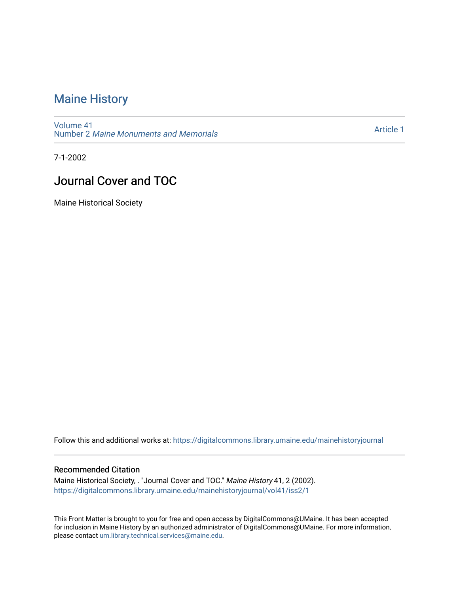### [Maine History](https://digitalcommons.library.umaine.edu/mainehistoryjournal)

[Volume 41](https://digitalcommons.library.umaine.edu/mainehistoryjournal/vol41) Number 2 [Maine Monuments and Memorials](https://digitalcommons.library.umaine.edu/mainehistoryjournal/vol41/iss2)

[Article 1](https://digitalcommons.library.umaine.edu/mainehistoryjournal/vol41/iss2/1) 

7-1-2002

### Journal Cover and TOC

Maine Historical Society

Follow this and additional works at: [https://digitalcommons.library.umaine.edu/mainehistoryjournal](https://digitalcommons.library.umaine.edu/mainehistoryjournal?utm_source=digitalcommons.library.umaine.edu%2Fmainehistoryjournal%2Fvol41%2Fiss2%2F1&utm_medium=PDF&utm_campaign=PDFCoverPages) 

#### Recommended Citation

Maine Historical Society, . "Journal Cover and TOC." Maine History 41, 2 (2002). [https://digitalcommons.library.umaine.edu/mainehistoryjournal/vol41/iss2/1](https://digitalcommons.library.umaine.edu/mainehistoryjournal/vol41/iss2/1?utm_source=digitalcommons.library.umaine.edu%2Fmainehistoryjournal%2Fvol41%2Fiss2%2F1&utm_medium=PDF&utm_campaign=PDFCoverPages)

This Front Matter is brought to you for free and open access by DigitalCommons@UMaine. It has been accepted for inclusion in Maine History by an authorized administrator of DigitalCommons@UMaine. For more information, please contact [um.library.technical.services@maine.edu.](mailto:um.library.technical.services@maine.edu)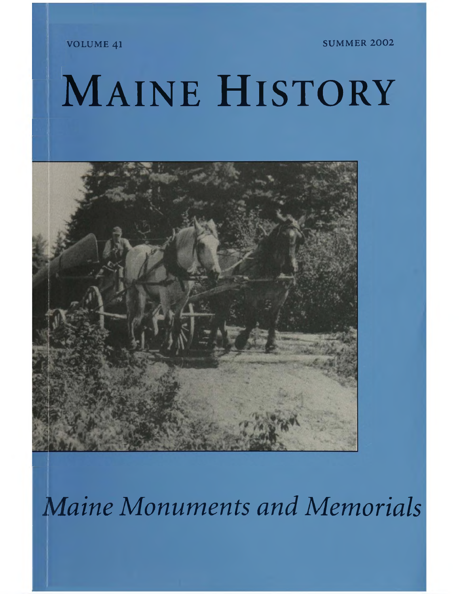VOLUME 41 SUMMER 2002

## MAINE HISTORY



*Maine Monuments and Memorials*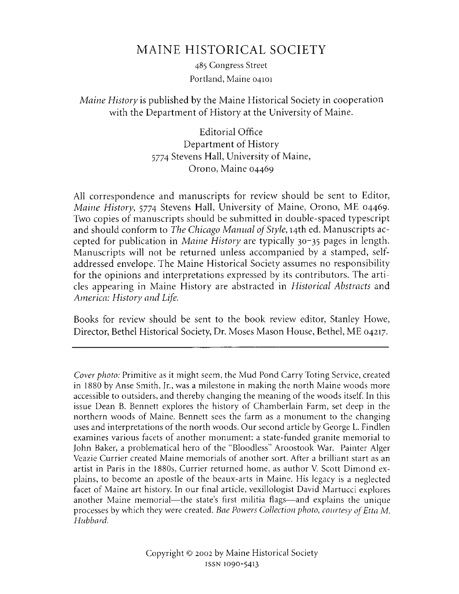### MAINE HISTORICAL SOCIETY

485 Congress Street Portland, Maine 04101

### *Maine History* is published by the Maine Historical Society in cooperation with the Department of History at the University of Maine.

Editorial Office Department of History 5774 Stevens Hall, University of Maine, Orono, Maine 04469

All correspondence and manuscripts for review should be sent to Editor, *Maine History*, 5774 Stevens Hall, University of Maine, Orono, ME 04469. Two copies of manuscripts should be submitted in double-spaced typescript and should conform to *The Chicago Manual of Style*, 14th ed. Manuscripts accepted for publication in *Maine History* are typically 30-35 pages in length. Manuscripts will not be returned unless accompanied by a stamped, selfaddressed envelope. The Maine Historical Society assumes no responsibility for the opinions and interpretations expressed by its contributors. The articles appearing in Maine History are abstracted in *Historical Abstracts* and *America: History and Life.*

Books for review should be sent to the book review editor, Stanley Howe, Director, Bethel Historical Society, Dr. Moses Mason House, Bethel, ME 04217.

*Cover photo:* Primitive as it might seem, the Mud Pond Carry Toting Service, created in 1880 by Anse Smith, Jr., was a milestone in making the north Maine woods more accessible to outsiders, and thereby changing the meaning of the woods itself. In this issue Dean B. Bennett explores the history of Chamberlain Farm, set deep in the northern woods of Maine. Bennett sees the farm as a monument to the changing uses and interpretations of the north woods. Our second article by George L. Findlen examines various facets of another monument: a state-funded granite memorial to John Baker, a problematical hero of the "Bloodless" Aroostook War. Painter Alger Veazie Currier created Maine memorials of another sort. After a brilliant start as an artist in Paris in the 1880s, Currier returned home, as author V. Scott Dimond explains, to become an apostle of the beaux-arts in Maine. His legacy is a neglected facet of Maine art history. In our final article, vexillologist David Martucci explores another Maine memorial—the state's first militia flags—and explains the unique processes by which they were created. *Bae Powers Collection photo*, *courtesy of Etta M. Hubbard*.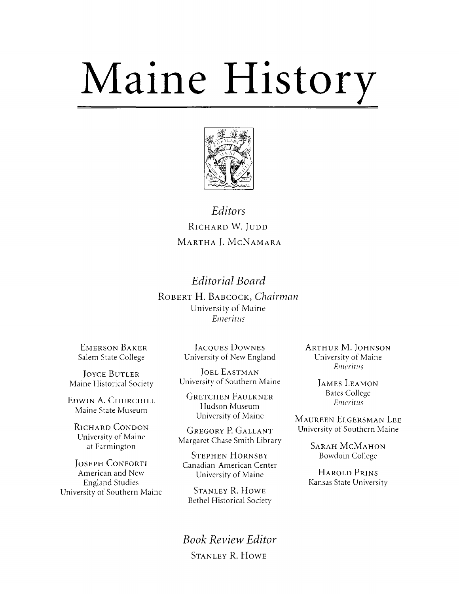# Maine History



### Editors RICHARD W. JUDD MARTHA L. MCNAMARA

### **Editorial Board**

ROBERT H. BABCOCK, Chairman University of Maine Emeritus

**EMERSON BAKER** Salem State College

**JOYCE BUTLER** Maine Historical Society

EDWIN A. CHURCHILL Maine State Museum

**RICHARD CONDON** University of Maine at Farmington

**JOSEPH CONFORTI** American and New **England Studies** University of Southern Maine

**JACQUES DOWNES** University of New England

**JOEL EASTMAN** University of Southern Maine

**GRETCHEN FAULKNER** Hudson Museum University of Maine

**GREGORY P. GALLANT** Margaret Chase Smith Library

**STEPHEN HORNSBY** Canadian-American Center University of Maine

**STANLEY R. HOWE Bethel Historical Society** 

**Book Review Editor STANLEY R. HOWE** 

**ARTHUR M. JOHNSON** University of Maine Emeritus

> **JAMES LEAMON Bates College** Emeritus

MAUREEN ELGERSMAN LEE University of Southern Maine

> **SARAH MCMAHON** Bowdoin College

**HAROLD PRINS** Kansas State University